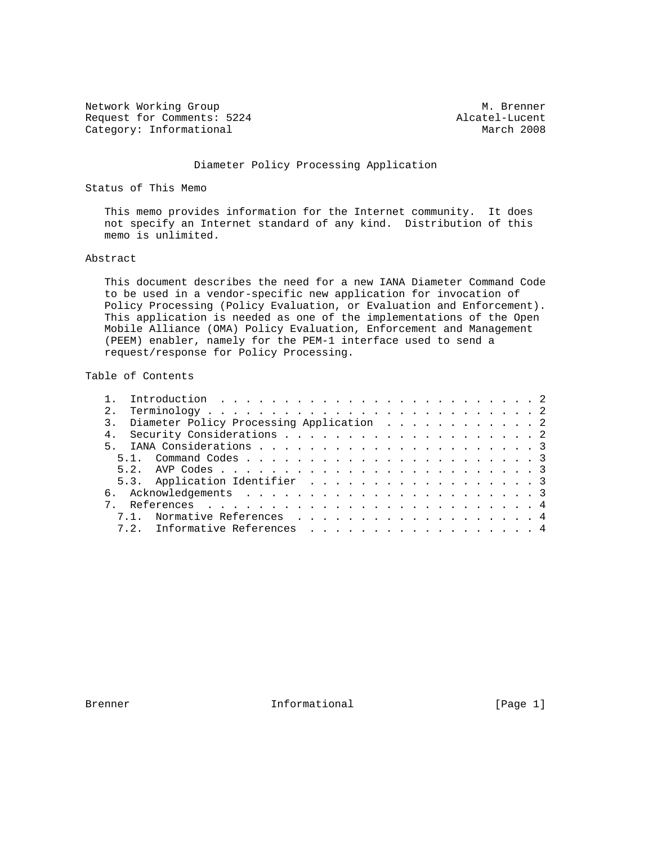Network Working Group Metwork Muslim Communication and Muslim Muslim Muslim Muslim Muslim Muslim Muslim Muslim Request for Comments: 5224 Alcatel-Lucent<br>
Category: Informational March 2008 Category: Informational

#### Diameter Policy Processing Application

Status of This Memo

 This memo provides information for the Internet community. It does not specify an Internet standard of any kind. Distribution of this memo is unlimited.

#### Abstract

 This document describes the need for a new IANA Diameter Command Code to be used in a vendor-specific new application for invocation of Policy Processing (Policy Evaluation, or Evaluation and Enforcement). This application is needed as one of the implementations of the Open Mobile Alliance (OMA) Policy Evaluation, Enforcement and Management (PEEM) enabler, namely for the PEM-1 interface used to send a request/response for Policy Processing.

# Table of Contents

|  | 3. Diameter Policy Processing Application 2 |  |  |  |  |  |  |  |  |  |  |  |  |  |
|--|---------------------------------------------|--|--|--|--|--|--|--|--|--|--|--|--|--|
|  |                                             |  |  |  |  |  |  |  |  |  |  |  |  |  |
|  |                                             |  |  |  |  |  |  |  |  |  |  |  |  |  |
|  |                                             |  |  |  |  |  |  |  |  |  |  |  |  |  |
|  |                                             |  |  |  |  |  |  |  |  |  |  |  |  |  |
|  | 5.3. Application Identifier 3               |  |  |  |  |  |  |  |  |  |  |  |  |  |
|  |                                             |  |  |  |  |  |  |  |  |  |  |  |  |  |
|  |                                             |  |  |  |  |  |  |  |  |  |  |  |  |  |
|  | 7.1. Normative References 4                 |  |  |  |  |  |  |  |  |  |  |  |  |  |
|  | 7.2. Informative References 4               |  |  |  |  |  |  |  |  |  |  |  |  |  |

Brenner 11 Informational 1999 [Page 1]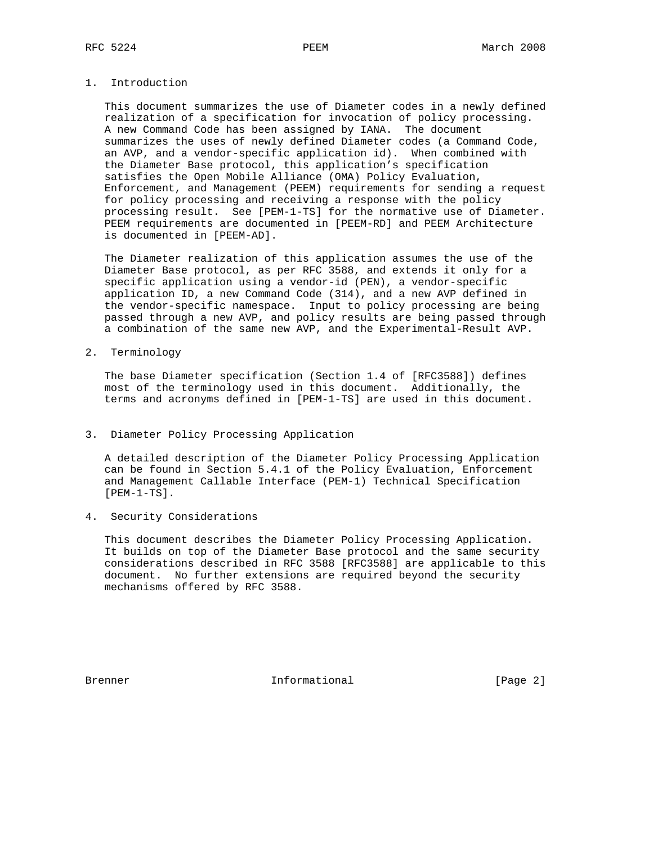## 1. Introduction

 This document summarizes the use of Diameter codes in a newly defined realization of a specification for invocation of policy processing. A new Command Code has been assigned by IANA. The document summarizes the uses of newly defined Diameter codes (a Command Code, an AVP, and a vendor-specific application id). When combined with the Diameter Base protocol, this application's specification satisfies the Open Mobile Alliance (OMA) Policy Evaluation, Enforcement, and Management (PEEM) requirements for sending a request for policy processing and receiving a response with the policy processing result. See [PEM-1-TS] for the normative use of Diameter. PEEM requirements are documented in [PEEM-RD] and PEEM Architecture is documented in [PEEM-AD].

 The Diameter realization of this application assumes the use of the Diameter Base protocol, as per RFC 3588, and extends it only for a specific application using a vendor-id (PEN), a vendor-specific application ID, a new Command Code (314), and a new AVP defined in the vendor-specific namespace. Input to policy processing are being passed through a new AVP, and policy results are being passed through a combination of the same new AVP, and the Experimental-Result AVP.

2. Terminology

 The base Diameter specification (Section 1.4 of [RFC3588]) defines most of the terminology used in this document. Additionally, the terms and acronyms defined in [PEM-1-TS] are used in this document.

#### 3. Diameter Policy Processing Application

 A detailed description of the Diameter Policy Processing Application can be found in Section 5.4.1 of the Policy Evaluation, Enforcement and Management Callable Interface (PEM-1) Technical Specification [PEM-1-TS].

4. Security Considerations

 This document describes the Diameter Policy Processing Application. It builds on top of the Diameter Base protocol and the same security considerations described in RFC 3588 [RFC3588] are applicable to this document. No further extensions are required beyond the security mechanisms offered by RFC 3588.

Brenner 10 1nformational 1999 (Page 2)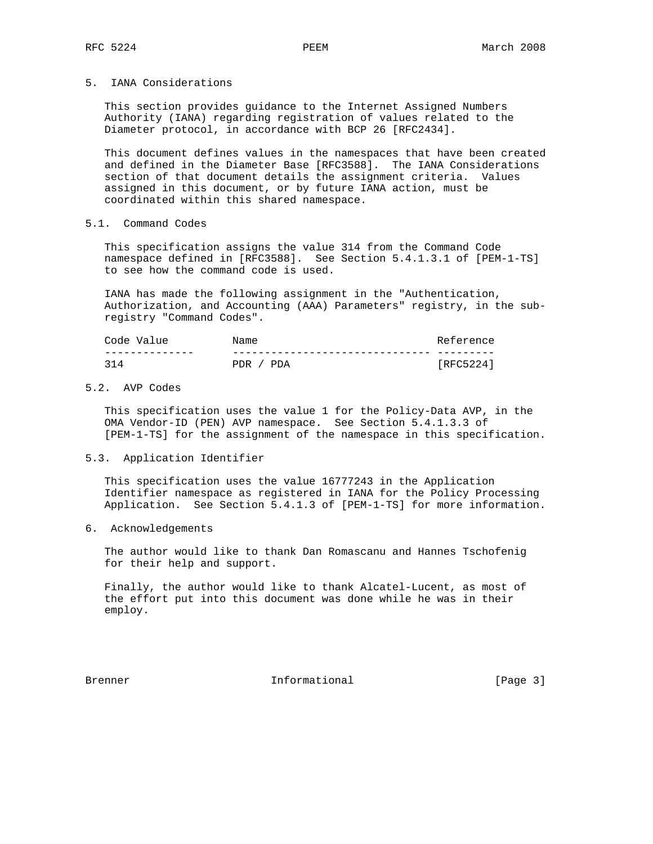### 5. IANA Considerations

 This section provides guidance to the Internet Assigned Numbers Authority (IANA) regarding registration of values related to the Diameter protocol, in accordance with BCP 26 [RFC2434].

 This document defines values in the namespaces that have been created and defined in the Diameter Base [RFC3588]. The IANA Considerations section of that document details the assignment criteria. Values assigned in this document, or by future IANA action, must be coordinated within this shared namespace.

## 5.1. Command Codes

 This specification assigns the value 314 from the Command Code namespace defined in [RFC3588]. See Section 5.4.1.3.1 of [PEM-1-TS] to see how the command code is used.

 IANA has made the following assignment in the "Authentication, Authorization, and Accounting (AAA) Parameters" registry, in the sub registry "Command Codes".

| Code Value | Name          | Reference |
|------------|---------------|-----------|
|            |               |           |
| 314        | PDR.<br>/ PDA | [RFC5224] |

## 5.2. AVP Codes

 This specification uses the value 1 for the Policy-Data AVP, in the OMA Vendor-ID (PEN) AVP namespace. See Section 5.4.1.3.3 of [PEM-1-TS] for the assignment of the namespace in this specification.

#### 5.3. Application Identifier

 This specification uses the value 16777243 in the Application Identifier namespace as registered in IANA for the Policy Processing Application. See Section 5.4.1.3 of [PEM-1-TS] for more information.

#### 6. Acknowledgements

 The author would like to thank Dan Romascanu and Hannes Tschofenig for their help and support.

 Finally, the author would like to thank Alcatel-Lucent, as most of the effort put into this document was done while he was in their employ.

Brenner 11 Informational 1996 (Page 3)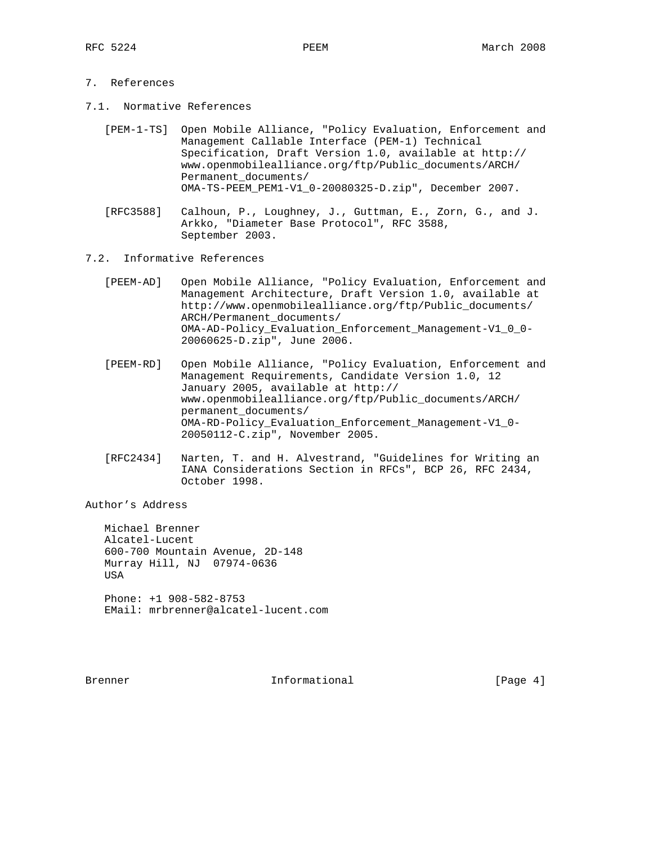## 7. References

- 7.1. Normative References
	- [PEM-1-TS] Open Mobile Alliance, "Policy Evaluation, Enforcement and Management Callable Interface (PEM-1) Technical Specification, Draft Version 1.0, available at http:// www.openmobilealliance.org/ftp/Public\_documents/ARCH/ Permanent\_documents/ OMA-TS-PEEM\_PEM1-V1\_0-20080325-D.zip", December 2007.
	- [RFC3588] Calhoun, P., Loughney, J., Guttman, E., Zorn, G., and J. Arkko, "Diameter Base Protocol", RFC 3588, September 2003.
- 7.2. Informative References
	- [PEEM-AD] Open Mobile Alliance, "Policy Evaluation, Enforcement and Management Architecture, Draft Version 1.0, available at http://www.openmobilealliance.org/ftp/Public\_documents/ ARCH/Permanent\_documents/ OMA-AD-Policy\_Evaluation\_Enforcement\_Management-V1\_0\_0- 20060625-D.zip", June 2006.
	- [PEEM-RD] Open Mobile Alliance, "Policy Evaluation, Enforcement and Management Requirements, Candidate Version 1.0, 12 January 2005, available at http:// www.openmobilealliance.org/ftp/Public\_documents/ARCH/ permanent\_documents/ OMA-RD-Policy\_Evaluation\_Enforcement\_Management-V1\_0- 20050112-C.zip", November 2005.
	- [RFC2434] Narten, T. and H. Alvestrand, "Guidelines for Writing an IANA Considerations Section in RFCs", BCP 26, RFC 2434, October 1998.

Author's Address

 Michael Brenner Alcatel-Lucent 600-700 Mountain Avenue, 2D-148 Murray Hill, NJ 07974-0636 **USA**  Phone: +1 908-582-8753 EMail: mrbrenner@alcatel-lucent.com

Brenner 11 Informational 1996 (Page 4)